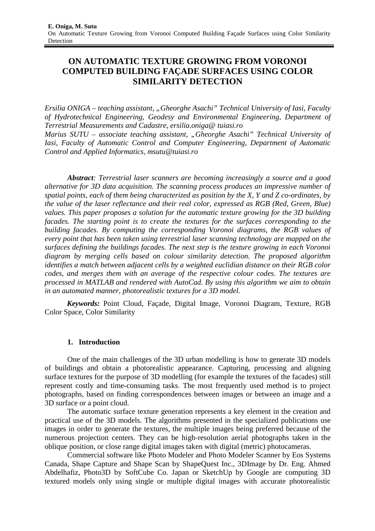# **ON AUTOMATIC TEXTURE GROWING FROM VORONOI COMPUTED BUILDING FAÇADE SURFACES USING COLOR SIMILARITY DETECTION**

*Ersilia ONIGA* – *teaching assistant, "Gheorghe Asachi" Technical University of Iasi, Faculty of Hydrotechnical Engineering, Geodesy and Environmental Engineering, Department of Terrestrial Measurements and Cadastre, ersilia.oniga@ tuiasi.ro Marius SUTU – associate teaching assistant, "Gheorghe Asachi" Technical University of Iasi, Faculty of Automatic Control and Computer Engineering, Department of Automatic Control and Applied Informatics, msutu@tuiasi.ro* 

*Abstract: Terrestrial laser scanners are becoming increasingly a source and a good alternative for 3D data acquisition. The scanning process produces an impressive number of spatial points, each of them being characterized as position by the X, Y and Z co-ordinates, by the value of the laser reflectance and their real color, expressed as RGB (Red, Green, Blue) values. This paper proposes a solution for the automatic texture growing for the 3D building facades. The starting point is to create the textures for the surfaces corresponding to the building facades. By computing the corresponding Voronoi diagrams, the RGB values of every point that has been taken using terrestrial laser scanning technology are mapped on the surfaces defining the buildings facades. The next step is the texture growing in each Voronoi diagram by merging cells based on colour similarity detection. The proposed algorithm identifies a match between adjacent cells by a weighted euclidian distance on their RGB color codes, and merges them with an average of the respective colour codes. The textures are processed in MATLAB and rendered with AutoCad. By using this algorithm we aim to obtain in an automated manner, photorealistic textures for a 3D model.* 

*Keywords:* Point Cloud, Façade, Digital Image, Voronoi Diagram, Texture, RGB Color Space, Color Similarity

# **1. Introduction**

One of the main challenges of the 3D urban modelling is how to generate 3D models of buildings and obtain a photorealistic appearance. Capturing, processing and aligning surface textures for the purpose of 3D modelling (for example the textures of the facades) still represent costly and time-consuming tasks. The most frequently used method is to project photographs, based on finding correspondences between images or between an image and a 3D surface or a point cloud.

The automatic surface texture generation represents a key element in the creation and practical use of the 3D models. The algorithms presented in the specialized publications use images in order to generate the textures, the multiple images being preferred because of the numerous projection centers. They can be high-resolution aerial photographs taken in the oblique position, or close range digital images taken with digital (metric) photocameras.

Commercial software like Photo Modeler and Photo Modeler Scanner by Eos Systems Canada, Shape Capture and Shape Scan by ShapeQuest Inc., 3DImage by Dr. Eng. Ahmed Abdelhafiz, Photo3D by SoftCube Co. Japan or SketchUp by Google are computing 3D textured models only using single or multiple digital images with accurate photorealistic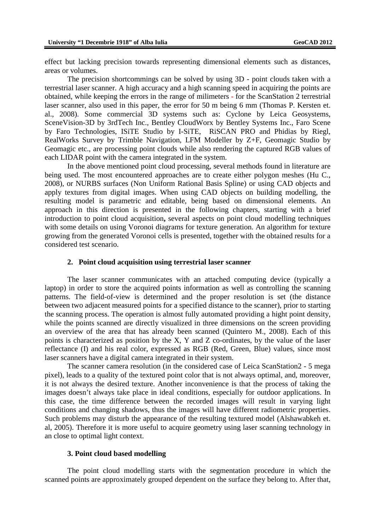effect but lacking precision towards representing dimensional elements such as distances, areas or volumes.

The precision shortcommings can be solved by using 3D - point clouds taken with a terrestrial laser scanner. A high accuracy and a high scanning speed in acquiring the points are obtained, while keeping the errors in the range of milimeters - for the ScanStation 2 terrestrial laser scanner, also used in this paper, the error for 50 m being 6 mm (Thomas P. Kersten et. al., 2008). Some commercial 3D systems such as: Cyclone by Leica Geosystems, SceneVision-3D by 3rdTech Inc., Bentley CloudWorx by Bentley Systems Inc., Faro Scene by Faro Technologies, ISiTE Studio by I-SiTE, RiSCAN PRO and Phidias by Riegl, RealWorks Survey by Trimble Navigation, LFM Modeller by Z+F, Geomagic Studio by Geomagic etc., are processing point clouds while also rendering the captured RGB values of each LIDAR point with the camera integrated in the system.

In the above mentioned point cloud processing, several methods found in literature are being used. The most encountered approaches are to create either polygon meshes (Hu C., 2008), or NURBS surfaces (Non Uniform Rational Basis Spline) or using CAD objects and apply textures from digital images. When using CAD objects on building modelling, the resulting model is parametric and editable, being based on dimensional elements. An approach in this direction is presented in the following chapters, starting with a brief introduction to point cloud acquisition**,** several aspects on point cloud modelling techniques with some details on using Voronoi diagrams for texture generation. An algorithm for texture growing from the generated Voronoi cells is presented, together with the obtained results for a considered test scenario.

#### **2. Point cloud acquisition using terrestrial laser scanner**

The laser scanner communicates with an attached computing device (typically a laptop) in order to store the acquired points information as well as controlling the scanning patterns. The field-of-view is determined and the proper resolution is set (the distance between two adjacent measured points for a specified distance to the scanner), prior to starting the scanning process. The operation is almost fully automated providing a hight point density, while the points scanned are directly visualized in three dimensions on the screen providing an overview of the area that has already been scanned (Quintero M., 2008). Each of this points is characterized as position by the X, Y and Z co-ordinates, by the value of the laser reflectance (I) and his real color, expressed as RGB (Red, Green, Blue) values, since most laser scanners have a digital camera integrated in their system.

The scanner camera resolution (in the considered case of Leica ScanStation2 - 5 mega pixel), leads to a quality of the textured point color that is not always optimal, and, moreover, it is not always the desired texture. Another inconvenience is that the process of taking the images doesn't always take place in ideal conditions, especially for outdoor applications. In this case, the time difference between the recorded images will result in varying light conditions and changing shadows, thus the images will have different radiometric properties. Such problems may disturb the appearance of the resulting textured model (Alshawabkeh et. al, 2005). Therefore it is more useful to acquire geometry using laser scanning technology in an close to optimal light context.

#### **3. Point cloud based modelling**

The point cloud modelling starts with the segmentation procedure in which the scanned points are approximately grouped dependent on the surface they belong to. After that,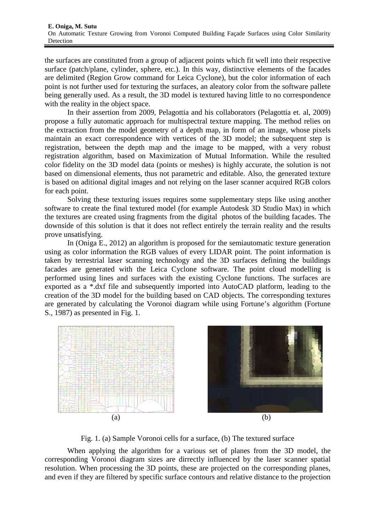the surfaces are constituted from a group of adjacent points which fit well into their respective surface (patch/plane, cylinder, sphere, etc.). In this way, distinctive elements of the facades are delimited (Region Grow command for Leica Cyclone), but the color information of each point is not further used for texturing the surfaces, an aleatory color from the software pallete being generally used. As a result, the 3D model is textured having little to no correspondence with the reality in the object space.

In their assertion from 2009, Pelagottia and his collaborators (Pelagottia et. al, 2009) propose a fully automatic approach for multispectral texture mapping. The method relies on the extraction from the model geometry of a depth map, in form of an image, whose pixels maintain an exact correspondence with vertices of the 3D model; the subsequent step is registration, between the depth map and the image to be mapped, with a very robust registration algorithm, based on Maximization of Mutual Information. While the resulted color fidelity on the 3D model data (points or meshes) is highly accurate, the solution is not based on dimensional elements, thus not parametric and editable. Also, the generated texture is based on aditional digital images and not relying on the laser scanner acquired RGB colors for each point.

Solving these texturing issues requires some supplementary steps like using another software to create the final textured model (for example Autodesk 3D Studio Max) in which the textures are created using fragments from the digital photos of the building facades. The downside of this solution is that it does not reflect entirely the terrain reality and the results prove unsatisfying.

In (Oniga E., 2012) an algorithm is proposed for the semiautomatic texture generation using as color information the RGB values of every LIDAR point. The point information is taken by terrestrial laser scanning technology and the 3D surfaces defining the buildings facades are generated with the Leica Cyclone software. The point cloud modelling is performed using lines and surfaces with the existing Cyclone functions. The surfaces are exported as a \*.dxf file and subsequently imported into AutoCAD platform, leading to the creation of the 3D model for the building based on CAD objects. The corresponding textures are generated by calculating the Voronoi diagram while using Fortune's algorithm (Fortune S., 1987) as presented in Fig. 1.





Fig. 1. (a) Sample Voronoi cells for a surface, (b) The textured surface

When applying the algorithm for a various set of planes from the 3D model, the corresponding Voronoi diagram sizes are dirrectly influenced by the laser scanner spatial resolution. When processing the 3D points, these are projected on the corresponding planes, and even if they are filtered by specific surface contours and relative distance to the projection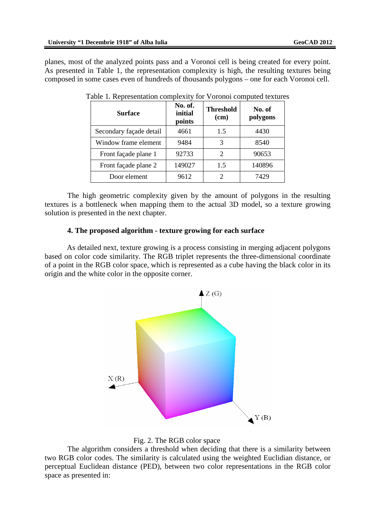planes, most of the analyzed points pass and a Voronoi cell is being created for every point. As presented in Table 1, the representation complexity is high, the resulting textures being composed in some cases even of hundreds of thousands polygons – one for each Voronoi cell.

| <b>Surface</b>          | No. of.<br>initial<br>points | <b>Threshold</b><br>(cm) | No. of<br>polygons |
|-------------------------|------------------------------|--------------------------|--------------------|
| Secondary façade detail | 4661                         | 1.5                      | 4430               |
| Window frame element    | 9484                         | 3                        | 8540               |
| Front façade plane 1    | 92733                        | 2                        | 90653              |
| Front façade plane 2    | 149027                       | 1.5                      | 140896             |
| Door element            | 9612                         |                          | 7429               |

Table 1. Representation complexity for Voronoi computed textures

 The high geometric complexity given by the amount of polygons in the resulting textures is a bottleneck when mapping them to the actual 3D model, so a texture growing solution is presented in the next chapter.

#### **4. The proposed algorithm - texture growing for each surface**

As detailed next, texture growing is a process consisting in merging adjacent polygons based on color code similarity. The RGB triplet represents the three-dimensional coordinate of a point in the RGB color space, which is represented as a cube having the black color in its origin and the white color in the opposite corner.





The algorithm considers a threshold when deciding that there is a similarity between two RGB color codes. The similarity is calculated using the weighted Euclidian distance, or perceptual Euclidean distance (PED), between two color representations in the RGB color space as presented in: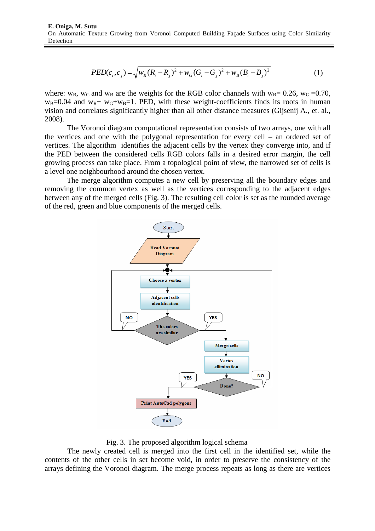$$
PED(c_i, c_j) = \sqrt{w_R (R_i - R_j)^2 + w_G (G_i - G_j)^2 + w_B (B_i - B_j)^2}
$$
(1)

where:  $w_R$ ,  $w_G$  and  $w_B$  are the weights for the RGB color channels with  $w_R$ = 0.26,  $w_G$ =0.70,  $w_B=0.04$  and  $w_R+w_G+w_B=1$ . PED, with these weight-coefficients finds its roots in human vision and correlates significantly higher than all other distance measures (Gijsenij A., et. al., 2008).

The Voronoi diagram computational representation consists of two arrays, one with all the vertices and one with the polygonal representation for every cell – an ordered set of vertices. The algorithm identifies the adjacent cells by the vertex they converge into, and if the PED between the considered cells RGB colors falls in a desired error margin, the cell growing process can take place. From a topological point of view, the narrowed set of cells is a level one neighbourhood around the chosen vertex.

The merge algorithm computes a new cell by preserving all the boundary edges and removing the common vertex as well as the vertices corresponding to the adjacent edges between any of the merged cells (Fig. 3). The resulting cell color is set as the rounded average of the red, green and blue components of the merged cells.



Fig. 3. The proposed algorithm logical schema

The newly created cell is merged into the first cell in the identified set, while the contents of the other cells in set become void, in order to preserve the consistency of the arrays defining the Voronoi diagram. The merge process repeats as long as there are vertices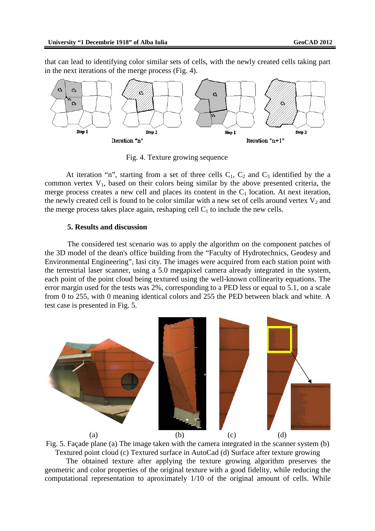that can lead to identifying color similar sets of cells, with the newly created cells taking part in the next iterations of the merge process (Fig. 4).



Fig. 4. Texture growing sequence

At iteration "n", starting from a set of three cells  $C_1$ ,  $C_2$  and  $C_3$  identified by the a common vertex  $V_1$ , based on their colors being similar by the above presented criteria, the merge process creates a new cell and places its content in the  $C_1$  location. At next iteration, the newly created cell is found to be color similar with a new set of cells around vertex  $V_2$  and the merge process takes place again, reshaping cell  $C_1$  to include the new cells.

### **5. Results and discussion**

 The considered test scenario was to apply the algorithm on the component patches of the 3D model of the dean's office building from the "Faculty of Hydrotechnics, Geodesy and Environmental Engineering", Iasi city. The images were acquired from each station point with the terrestrial laser scanner, using a 5.0 megapixel camera already integrated in the system, each point of the point cloud being textured using the well-known collinearity equations. The error margin used for the tests was 2%, corresponding to a PED less or equal to 5.1, on a scale from 0 to 255, with 0 meaning identical colors and 255 the PED between black and white. A test case is presented in Fig. 5.



Fig. 5. Façade plane (a) The image taken with the camera integrated in the scanner system (b) Textured point cloud (c) Textured surface in AutoCad (d) Surface after texture growing

The obtained texture after applying the texture growing algorithm preserves the geometric and color properties of the original texture with a good fidelity, while reducing the computational representation to aproximately 1/10 of the original amount of cells. While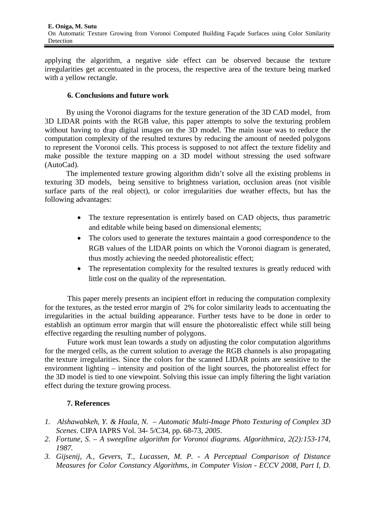applying the algorithm, a negative side effect can be observed because the texture irregularities get accentuated in the process, the respective area of the texture being marked with a yellow rectangle.

### **6. Conclusions and future work**

By using the Voronoi diagrams for the texture generation of the 3D CAD model, from 3D LIDAR points with the RGB value, this paper attempts to solve the texturing problem without having to drap digital images on the 3D model. The main issue was to reduce the computation complexity of the resulted textures by reducing the amount of needed polygons to represent the Voronoi cells. This process is supposed to not affect the texture fidelity and make possible the texture mapping on a 3D model without stressing the used software (AutoCad).

The implemented texture growing algorithm didn't solve all the existing problems in texturing 3D models, being sensitive to brightness variation, occlusion areas (not visible surface parts of the real object), or color irregularities due weather effects, but has the following advantages:

- The texture representation is entirely based on CAD objects, thus parametric and editable while being based on dimensional elements;
- The colors used to generate the textures maintain a good correspondence to the RGB values of the LIDAR points on which the Voronoi diagram is generated, thus mostly achieving the needed photorealistic effect;
- The representation complexity for the resulted textures is greatly reduced with little cost on the quality of the representation.

This paper merely presents an incipient effort in reducing the computation complexity for the textures, as the tested error margin of 2% for color similarity leads to accentuating the irregularities in the actual building appearance. Further tests have to be done in order to establish an optimum error margin that will ensure the photorealistic effect while still being effective regarding the resulting number of polygons.

Future work must lean towards a study on adjusting the color computation algorithms for the merged cells, as the current solution to average the RGB channels is also propagating the texture irregularities. Since the colors for the scanned LIDAR points are sensitive to the environment lighting – intensity and position of the light sources, the photorealist effect for the 3D model is tied to one viewpoint. Solving this issue can imply filtering the light variation effect during the texture growing process.

# **7. References**

- *1. Alshawabkeh, Y. & Haala, N. – Automatic Multi-Image Photo Texturing of Complex 3D Scenes*. CIPA IAPRS Vol. 34- 5/C34, pp. 68-73, *2005*.
- *2. Fortune, S. A sweepline algorithm for Voronoi diagrams. Algorithmica, 2(2):153-174, 1987.*
- *3. Gijsenij, A., Gevers, T., Lucassen, M. P. A Perceptual Comparison of Distance Measures for Color Constancy Algorithms, in Computer Vision - ECCV 2008, Part I, D.*